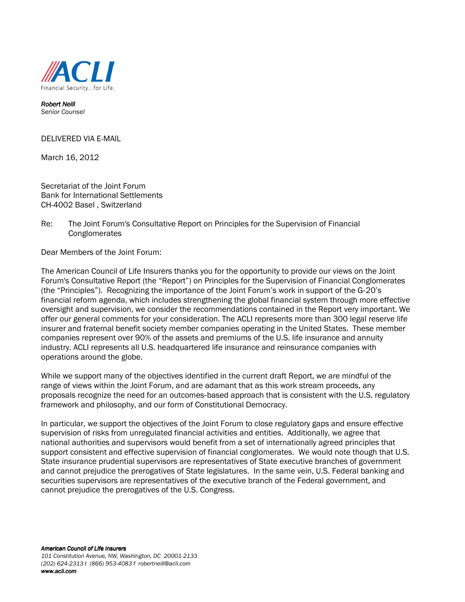

Robert Neill Senior Counsel

DELIVERED VIA E-MAIL

March 16, 2012

Secretariat of the Joint Forum Bank for International Settlements CH-4002 Basel , Switzerland

Re: The Joint Forum's Consultative Report on Principles for the Supervision of Financial **Conglomerates** 

Dear Members of the Joint Forum:

The American Council of Life Insurers thanks you for the opportunity to provide our views on the Joint Forum's Consultative Report (the "Report") on Principles for the Supervision of Financial Conglomerates (the "Principles"). Recognizing the importance of the Joint Forum's work in support of the G‐20's financial reform agenda, which includes strengthening the global financial system through more effective oversight and supervision, we consider the recommendations contained in the Report very important. We offer our general comments for your consideration. The ACLI represents more than 300 legal reserve life insurer and fraternal benefit society member companies operating in the United States. These member companies represent over 90% of the assets and premiums of the U.S. life insurance and annuity industry. ACLI represents all U.S. headquartered life insurance and reinsurance companies with operations around the globe.

While we support many of the objectives identified in the current draft Report, we are mindful of the range of views within the Joint Forum, and are adamant that as this work stream proceeds, any proposals recognize the need for an outcomes‐based approach that is consistent with the U.S. regulatory framework and philosophy, and our form of Constitutional Democracy.

In particular, we support the objectives of the Joint Forum to close regulatory gaps and ensure effective supervision of risks from unregulated financial activities and entities. Additionally, we agree that national authorities and supervisors would benefit from a set of internationally agreed principles that support consistent and effective supervision of financial conglomerates. We would note though that U.S. State insurance prudential supervisors are representatives of State executive branches of government and cannot prejudice the prerogatives of State legislatures. In the same vein, U.S. Federal banking and securities supervisors are representatives of the executive branch of the Federal government, and cannot prejudice the prerogatives of the U.S. Congress.

American Council of Life Insurers 101 Constitution Avenue, NW, Washington, DC 20001-2133 (202) 624-2313 t (866) 953-4083 f robertneill@acli.com www.acli.com